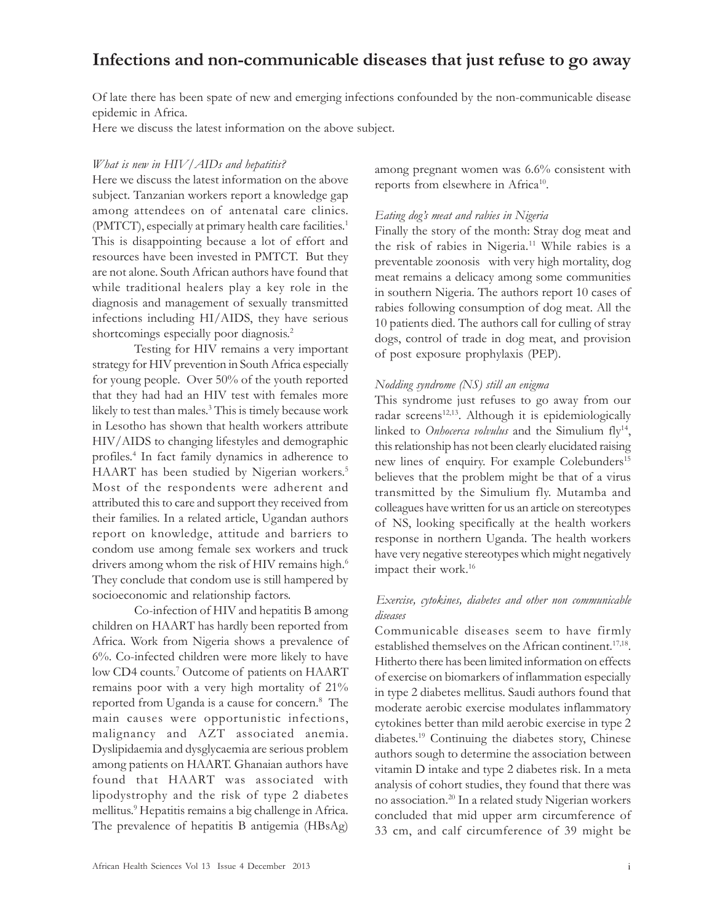# Infections and non-communicable diseases that just refuse to go away

Of late there has been spate of new and emerging infections confounded by the non-communicable disease epidemic in Africa.

Here we discuss the latest information on the above subject.

#### What is new in HIV/AIDs and hepatitis?

Here we discuss the latest information on the above subject. Tanzanian workers report a knowledge gap among attendees on of antenatal care clinics. (PMTCT), especially at primary health care facilities. 1 This is disappointing because a lot of effort and resources have been invested in PMTCT. But they are not alone. South African authors have found that while traditional healers play a key role in the diagnosis and management of sexually transmitted infections including HI/AIDS, they have serious shortcomings especially poor diagnosis. 2

Testing for HIV remains a very important strategy for HIV prevention in South Africa especially for young people. Over 50% of the youth reported that they had had an HIV test with females more likely to test than males. 3 This is timely because work in Lesotho has shown that health workers attribute HIV/AIDS to changing lifestyles and demographic profiles. 4 In fact family dynamics in adherence to HAART has been studied by Nigerian workers.<sup>5</sup> Most of the respondents were adherent and attributed this to care and support they received from their families. In a related article, Ugandan authors report on knowledge, attitude and barriers to condom use among female sex workers and truck drivers among whom the risk of HIV remains high.<sup>6</sup> They conclude that condom use is still hampered by socioeconomic and relationship factors.

Co-infection of HIV and hepatitis B among children on HAART has hardly been reported from Africa. Work from Nigeria shows a prevalence of 6%. Co-infected children were more likely to have low CD4 counts. 7 Outcome of patients on HAART remains poor with a very high mortality of 21% reported from Uganda is a cause for concern.<sup>8</sup> The main causes were opportunistic infections, malignancy and AZT associated anemia. Dyslipidaemia and dysglycaemia are serious problem among patients on HAART. Ghanaian authors have found that HAART was associated with lipodystrophy and the risk of type 2 diabetes mellitus. 9 Hepatitis remains a big challenge in Africa. The prevalence of hepatitis B antigemia (HBsAg)

among pregnant women was 6.6% consistent with reports from elsewhere in Africa<sup>10</sup>.

#### Eating dog's meat and rabies in Nigeria

Finally the story of the month: Stray dog meat and the risk of rabies in Nigeria.<sup>11</sup> While rabies is a preventable zoonosis with very high mortality, dog meat remains a delicacy among some communities in southern Nigeria. The authors report 10 cases of rabies following consumption of dog meat. All the 10 patients died. The authors call for culling of stray dogs, control of trade in dog meat, and provision of post exposure prophylaxis (PEP).

#### Nodding syndrome (NS) still an enigma

This syndrome just refuses to go away from our radar screens<sup>12,13</sup>. Although it is epidemiologically linked to *Onhocerca volvulus* and the Simulium fly<sup>14</sup>, this relationship has not been clearly elucidated raising new lines of enquiry. For example Colebunders 15 believes that the problem might be that of a virus transmitted by the Simulium fly. Mutamba and colleagues have written for us an article on stereotypes of NS, looking specifically at the health workers response in northern Uganda. The health workers have very negative stereotypes which might negatively impact their work.<sup>16</sup>

### Exercise, cytokines, diabetes and other non communicable diseases

Communicable diseases seem to have firmly established themselves on the African continent.<sup>17,18</sup>. Hitherto there has been limited information on effects of exercise on biomarkers of inflammation especially in type 2 diabetes mellitus. Saudi authors found that moderate aerobic exercise modulates inflammatory cytokines better than mild aerobic exercise in type 2 diabetes. <sup>19</sup> Continuing the diabetes story, Chinese authors sough to determine the association between vitamin D intake and type 2 diabetes risk. In a meta analysis of cohort studies, they found that there was no association.<sup>20</sup> In a related study Nigerian workers concluded that mid upper arm circumference of 33 cm, and calf circumference of 39 might be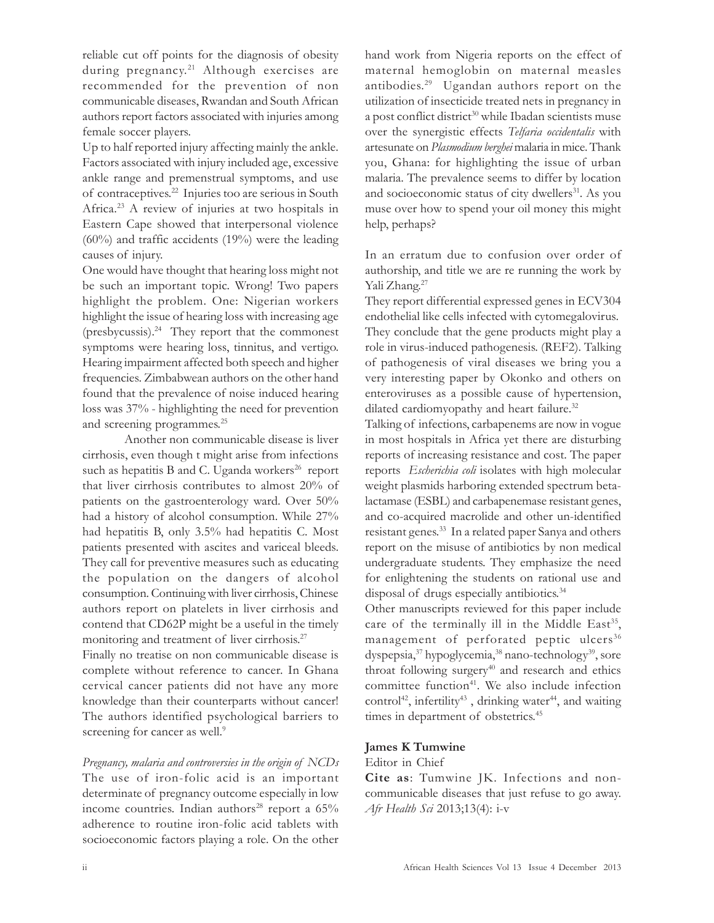reliable cut off points for the diagnosis of obesity during pregnancy.<sup>21</sup> Although exercises are recommended for the prevention of non communicable diseases, Rwandan and South African authors report factors associated with injuries among female soccer players.

Up to half reported injury affecting mainly the ankle. Factors associated with injury included age, excessive ankle range and premenstrual symptoms, and use of contraceptives. <sup>22</sup> Injuries too are serious in South Africa.<sup>23</sup> A review of injuries at two hospitals in Eastern Cape showed that interpersonal violence (60%) and traffic accidents (19%) were the leading causes of injury.

One would have thought that hearing loss might not be such an important topic. Wrong! Two papers highlight the problem. One: Nigerian workers highlight the issue of hearing loss with increasing age (presbycussis).<sup>24</sup> They report that the commonest symptoms were hearing loss, tinnitus, and vertigo. Hearing impairment affected both speech and higher frequencies. Zimbabwean authors on the other hand found that the prevalence of noise induced hearing loss was 37% - highlighting the need for prevention and screening programmes. 25

Another non communicable disease is liver cirrhosis, even though t might arise from infections such as hepatitis B and C. Uganda workers<sup>26</sup> report that liver cirrhosis contributes to almost 20% of patients on the gastroenterology ward. Over 50% had a history of alcohol consumption. While 27% had hepatitis B, only 3.5% had hepatitis C. Most patients presented with ascites and variceal bleeds. They call for preventive measures such as educating the population on the dangers of alcohol consumption. Continuing with liver cirrhosis, Chinese authors report on platelets in liver cirrhosis and contend that CD62P might be a useful in the timely monitoring and treatment of liver cirrhosis. 27

Finally no treatise on non communicable disease is complete without reference to cancer. In Ghana cervical cancer patients did not have any more knowledge than their counterparts without cancer! The authors identified psychological barriers to screening for cancer as well.<sup>9</sup>

Pregnancy, malaria and controversies in the origin of NCDs The use of iron-folic acid is an important determinate of pregnancy outcome especially in low income countries. Indian authors <sup>28</sup> report a 65% adherence to routine iron-folic acid tablets with socioeconomic factors playing a role. On the other

hand work from Nigeria reports on the effect of maternal hemoglobin on maternal measles antibodies. <sup>29</sup> Ugandan authors report on the utilization of insecticide treated nets in pregnancy in a post conflict district<sup>30</sup> while Ibadan scientists muse over the synergistic effects Telfaria occidentalis with artesunate on Plasmodium berghei malaria in mice. Thank you, Ghana: for highlighting the issue of urban malaria. The prevalence seems to differ by location and socioeconomic status of city dwellers<sup>31</sup>. As you muse over how to spend your oil money this might help, perhaps?

In an erratum due to confusion over order of authorship, and title we are re running the work by Yali Zhang. 27

They report differential expressed genes in ECV304 endothelial like cells infected with cytomegalovirus. They conclude that the gene products might play a role in virus-induced pathogenesis. (REF2). Talking of pathogenesis of viral diseases we bring you a very interesting paper by Okonko and others on enteroviruses as a possible cause of hypertension, dilated cardiomyopathy and heart failure.<sup>32</sup>

Talking of infections, carbapenems are now in vogue in most hospitals in Africa yet there are disturbing reports of increasing resistance and cost. The paper reports Escherichia coli isolates with high molecular weight plasmids harboring extended spectrum betalactamase (ESBL) and carbapenemase resistant genes, and co-acquired macrolide and other un-identified resistant genes. <sup>33</sup> In a related paper Sanya and others report on the misuse of antibiotics by non medical undergraduate students. They emphasize the need for enlightening the students on rational use and disposal of drugs especially antibiotics. 34

Other manuscripts reviewed for this paper include care of the terminally ill in the Middle  $East<sup>35</sup>$ , management of perforated peptic ulcers<sup>36</sup> dyspepsia,<sup>37</sup> hypoglycemia,<sup>38</sup> nano-technology<sup>39</sup> , sore throat following surgery<sup>40</sup> and research and ethics committee function<sup>41</sup>. We also include infection control<sup>42</sup>, infertility<sup>43</sup>, drinking water<sup>44</sup>, and waiting times in department of obstetrics. 45

## James K Tumwine

Editor in Chief

Cite as: Tumwine JK. Infections and noncommunicable diseases that just refuse to go away. Afr Health Sci 2013;13(4): i-v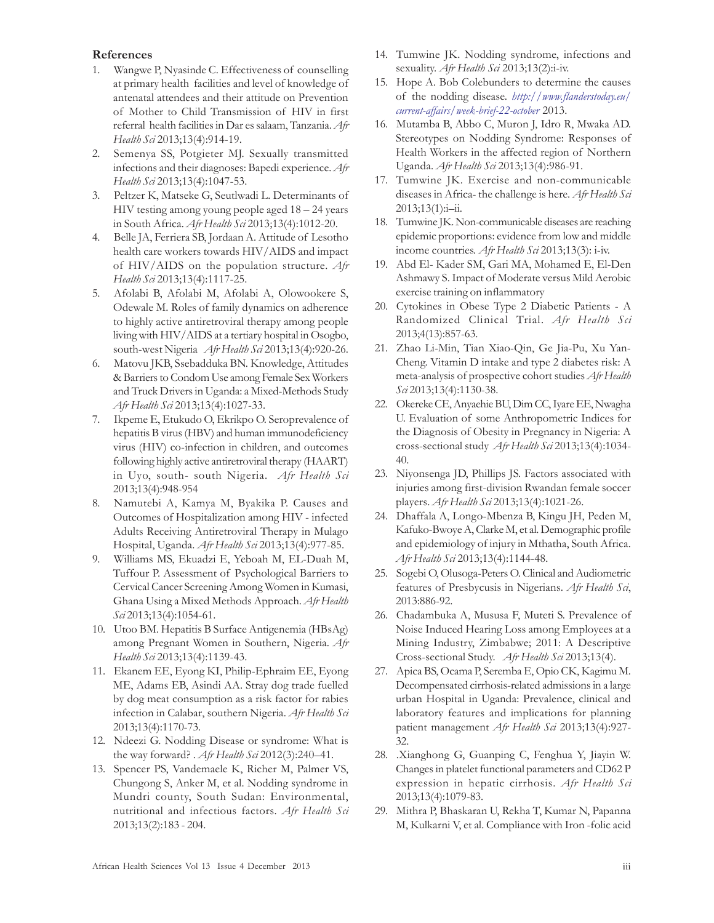#### References

- 1. Wangwe P, Nyasinde C. Effectiveness of counselling at primary health facilities and level of knowledge of antenatal attendees and their attitude on Prevention of Mother to Child Transmission of HIV in first referral health facilities in Dar es salaam, Tanzania. Afr Health Sci 2013;13(4):914-19.
- 2. Semenya SS, Potgieter MJ. Sexually transmitted infections and their diagnoses: Bapedi experience. Afr Health Sci 2013;13(4):1047-53.
- 3. Peltzer K, Matseke G, Seutlwadi L. Determinants of HIV testing among young people aged 18 – 24 years in South Africa. Afr Health Sci 2013;13(4):1012-20.
- 4. Belle JA, Ferriera SB, Jordaan A. Attitude of Lesotho health care workers towards HIV/AIDS and impact of HIV/AIDS on the population structure. Afr Health Sci 2013;13(4):1117-25.
- 5. Afolabi B, Afolabi M, Afolabi A, Olowookere S, Odewale M. Roles of family dynamics on adherence to highly active antiretroviral therapy among people living with HIV/AIDS at a tertiary hospital in Osogbo, south-west Nigeria Afr Health Sci 2013;13(4):920-26.
- 6. Matovu JKB, Ssebadduka BN. Knowledge, Attitudes & Barriers to Condom Use among Female Sex Workers and Truck Drivers in Uganda: a Mixed-Methods Study Afr Health Sci 2013;13(4):1027-33.
- 7. Ikpeme E, Etukudo O, Ekrikpo O. Seroprevalence of hepatitis B virus (HBV) and human immunodeficiency virus (HIV) co-infection in children, and outcomes following highly active antiretroviral therapy (HAART) in Uyo, south- south Nigeria. Afr Health Sci 2013;13(4):948-954
- 8. Namutebi A, Kamya M, Byakika P. Causes and Outcomes of Hospitalization among HIV - infected Adults Receiving Antiretroviral Therapy in Mulago Hospital, Uganda. Afr Health Sci 2013;13(4):977-85.
- 9. Williams MS, Ekuadzi E, Yeboah M, EL-Duah M, Tuffour P. Assessment of Psychological Barriers to Cervical Cancer Screening Among Women in Kumasi, Ghana Using a Mixed Methods Approach. Afr Health Sci 2013;13(4):1054-61.
- 10. Utoo BM. Hepatitis B Surface Antigenemia (HBsAg) among Pregnant Women in Southern, Nigeria. Afr Health Sci 2013;13(4):1139-43.
- 11. Ekanem EE, Eyong KI, Philip-Ephraim EE, Eyong ME, Adams EB, Asindi AA. Stray dog trade fuelled by dog meat consumption as a risk factor for rabies infection in Calabar, southern Nigeria. Afr Health Sci 2013;13(4):1170-73.
- 12. Ndeezi G. Nodding Disease or syndrome: What is the way forward? . Afr Health Sci 2012(3):240-41.
- 13. Spencer PS, Vandemaele K, Richer M, Palmer VS, Chungong S, Anker M, et al. Nodding syndrome in Mundri county, South Sudan: Environmental, nutritional and infectious factors. Afr Health Sci 2013;13(2):183 - 204.
- 14. Tumwine JK. Nodding syndrome, infections and sexuality. Afr Health Sci 2013;13(2):i-iv.
- 15. Hope A. Bob Colebunders to determine the causes of the nodding disease. http://www.flanderstoday.eu/ current-affairs/week-brief-22-october 2013.
- 16. Mutamba B, Abbo C, Muron J, Idro R, Mwaka AD. Stereotypes on Nodding Syndrome: Responses of Health Workers in the affected region of Northern Uganda. Afr Health Sci 2013;13(4):986-91.
- 17. Tumwine JK. Exercise and non-communicable diseases in Africa- the challenge is here. Afr Health Sci  $2013;13(1):i-i.$
- 18. Tumwine JK. Non-communicable diseases are reaching epidemic proportions: evidence from low and middle income countries. Afr Health Sci 2013;13(3): i-iv.
- 19. Abd El- Kader SM, Gari MA, Mohamed E, El-Den Ashmawy S. Impact of Moderate versus Mild Aerobic exercise training on inflammatory
- 20. Cytokines in Obese Type 2 Diabetic Patients A Randomized Clinical Trial. Afr Health Sci 2013;4(13):857-63.
- 21. Zhao Li-Min, Tian Xiao-Qin, Ge Jia-Pu, Xu Yan-Cheng. Vitamin D intake and type 2 diabetes risk: A meta-analysis of prospective cohort studies Afr Health Sci 2013;13(4):1130-38.
- 22. Okereke CE,Anyaehie BU, Dim CC, Iyare EE, Nwagha U. Evaluation of some Anthropometric Indices for the Diagnosis of Obesity in Pregnancy in Nigeria: A cross-sectional study Afr Health Sci 2013;13(4):1034- 40.
- 23. Niyonsenga JD, Phillips JS. Factors associated with injuries among first-division Rwandan female soccer players. Afr Health Sci 2013;13(4):1021-26.
- 24. Dhaffala A, Longo-Mbenza B, Kingu JH, Peden M, Kafuko-Bwoye A, Clarke M, et al. Demographic profile and epidemiology of injury in Mthatha, South Africa. Afr Health Sci 2013;13(4):1144-48.
- 25. Sogebi O, Olusoga-Peters O. Clinical and Audiometric features of Presbycusis in Nigerians. Afr Health Sci, 2013:886-92.
- 26. Chadambuka A, Mususa F, Muteti S. Prevalence of Noise Induced Hearing Loss among Employees at a Mining Industry, Zimbabwe; 2011: A Descriptive Cross-sectional Study. Afr Health Sci 2013;13(4).
- 27. Apica BS, Ocama P, Seremba E, Opio CK, Kagimu M. Decompensated cirrhosis-related admissions in a large urban Hospital in Uganda: Prevalence, clinical and laboratory features and implications for planning patient management Afr Health Sci 2013;13(4):927-32.
- 28. .Xianghong G, Guanping C, Fenghua Y, Jiayin W. Changes in platelet functional parameters and CD62 P expression in hepatic cirrhosis. Afr Health Sci 2013;13(4):1079-83.
- 29. Mithra P, Bhaskaran U, Rekha T, Kumar N, Papanna M, Kulkarni V, et al. Compliance with Iron -folic acid